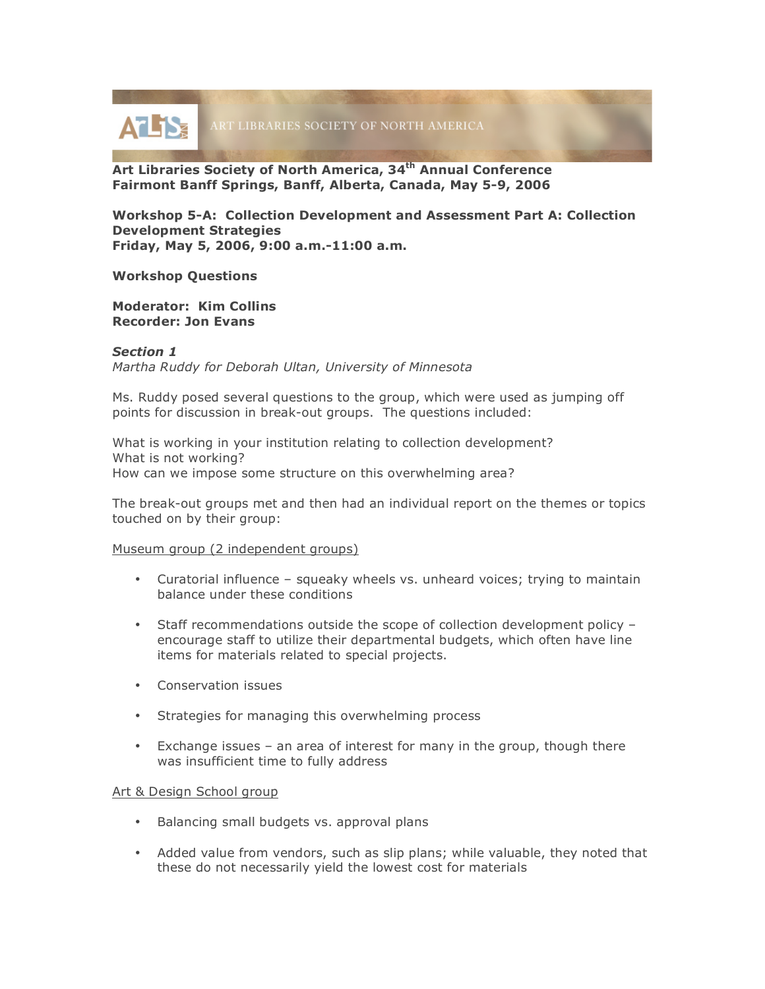

**Art Libraries Society of North America, 34th Annual Conference Fairmont Banff Springs, Banff, Alberta, Canada, May 5-9, 2006**

**Workshop 5-A: Collection Development and Assessment Part A: Collection Development Strategies Friday, May 5, 2006, 9:00 a.m.-11:00 a.m.**

**Workshop Questions**

**Moderator: Kim Collins Recorder: Jon Evans**

## *Section 1*

*Martha Ruddy for Deborah Ultan, University of Minnesota*

Ms. Ruddy posed several questions to the group, which were used as jumping off points for discussion in break-out groups. The questions included:

What is working in your institution relating to collection development? What is not working? How can we impose some structure on this overwhelming area?

The break-out groups met and then had an individual report on the themes or topics touched on by their group:

## Museum group (2 independent groups)

- Curatorial influence squeaky wheels vs. unheard voices; trying to maintain balance under these conditions
- Staff recommendations outside the scope of collection development policy encourage staff to utilize their departmental budgets, which often have line items for materials related to special projects.
- Conservation issues
- Strategies for managing this overwhelming process
- Exchange issues an area of interest for many in the group, though there was insufficient time to fully address

#### Art & Design School group

- Balancing small budgets vs. approval plans
- Added value from vendors, such as slip plans; while valuable, they noted that these do not necessarily yield the lowest cost for materials